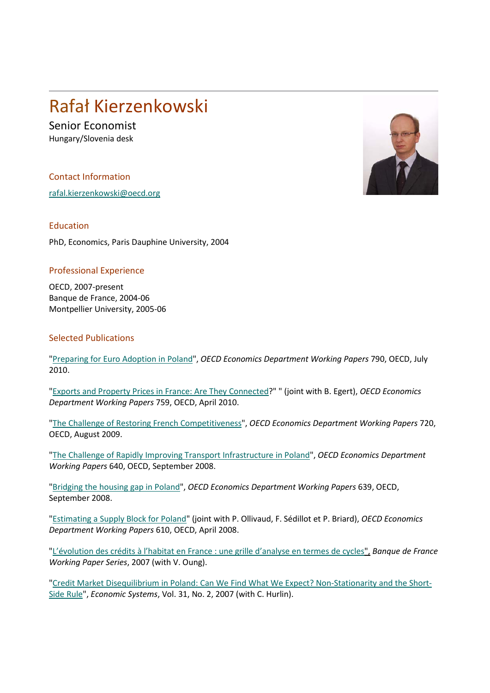## Rafał Kierzenkowski

Senior Economist Hungary/Slovenia desk

Contact Information

[rafal.kierzenkowski@oecd.org](mailto:rafal.kierzenkowski@oecd.org)

Education

PhD, Economics, Paris Dauphine University, 2004

## Professional Experience

OECD, 2007-present Banque de France, 2004-06 Montpellier University, 2005-06

## Selected Publications

["Preparing for Euro Adoption in Poland"](http://www.oecd-ilibrary.org/economics/preparing-for-euro-adoption-in-poland_5kmbm6v89gtk-en), *OECD Economics Department Working Papers* 790, OECD, July 2010.

["Exports and Property Prices in France: Are They Connected?](http://www.oecd-ilibrary.org/economics/exports-and-property-prices-in-france_5kmh379pv30v-en)" " (joint with B. Egert), *OECD Economics Department Working Papers* 759, OECD, April 2010.

["The Challenge of Restoring French Competitiveness"](http://dx.doi.org/10.1787/222054166088), *OECD Economics Department Working Papers* 720, OECD, August 2009.

["The Challenge of Rapidly Improving Transport Infrastructure in Poland"](http://www.olis.oecd.org/olis/2008doc.nsf/linkto/eco-wkp(2008)48), *OECD Economics Department Working Papers* 640, OECD, September 2008.

"Bridging [the housing gap in Poland"](http://dx.doi.org/10.1787/236314440147), *OECD Economics Department Working Papers* 639, OECD, September 2008.

["Estimating a Supply Block for Poland"](http://dx.doi.org/10.1787/243218687811) (joint with P. Ollivaud, F. Sédillot et P. Briard), *OECD Economics Department Working Papers* 610, OECD, April 2008.

["L'évolution des crédits à l'habitat en France : une grille d'analyse en termes de cycles"](http://www.banque-france.fr/fr/publications/telechar/ner/ner172.pdf), *Banque de France Working Paper Series*, 2007 (with V. Oung).

["Credit Market Disequilibrium in Poland: Can We Find What We Expect? Non-Stationarity and the Short-](http://econpapers.repec.org/article/eeeecosys/v_3A31_3Ay_3A2007_3Ai_3A2_3Ap_3A157-183.htm)[Side Rule"](http://econpapers.repec.org/article/eeeecosys/v_3A31_3Ay_3A2007_3Ai_3A2_3Ap_3A157-183.htm), *Economic Systems*, Vol. 31, No. 2, 2007 (with C. Hurlin).